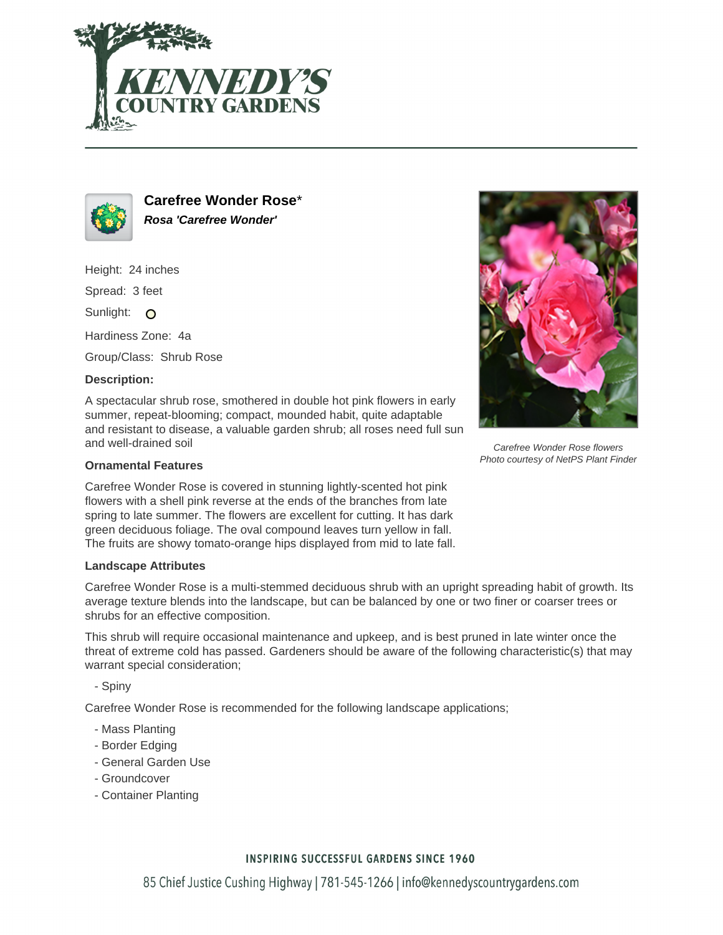



**Carefree Wonder Rose**\* **Rosa 'Carefree Wonder'**

Height: 24 inches

Spread: 3 feet

Sunlight: O

Hardiness Zone: 4a

Group/Class: Shrub Rose

# **Description:**

A spectacular shrub rose, smothered in double hot pink flowers in early summer, repeat-blooming; compact, mounded habit, quite adaptable and resistant to disease, a valuable garden shrub; all roses need full sun and well-drained soil

### **Ornamental Features**

Carefree Wonder Rose is covered in stunning lightly-scented hot pink flowers with a shell pink reverse at the ends of the branches from late spring to late summer. The flowers are excellent for cutting. It has dark green deciduous foliage. The oval compound leaves turn yellow in fall. The fruits are showy tomato-orange hips displayed from mid to late fall.

#### **Landscape Attributes**

Carefree Wonder Rose is a multi-stemmed deciduous shrub with an upright spreading habit of growth. Its average texture blends into the landscape, but can be balanced by one or two finer or coarser trees or shrubs for an effective composition.

This shrub will require occasional maintenance and upkeep, and is best pruned in late winter once the threat of extreme cold has passed. Gardeners should be aware of the following characteristic(s) that may warrant special consideration;

- Spiny

Carefree Wonder Rose is recommended for the following landscape applications;

- Mass Planting
- Border Edging
- General Garden Use
- Groundcover
- Container Planting



Photo courtesy of NetPS Plant Finder

# **INSPIRING SUCCESSFUL GARDENS SINCE 1960**